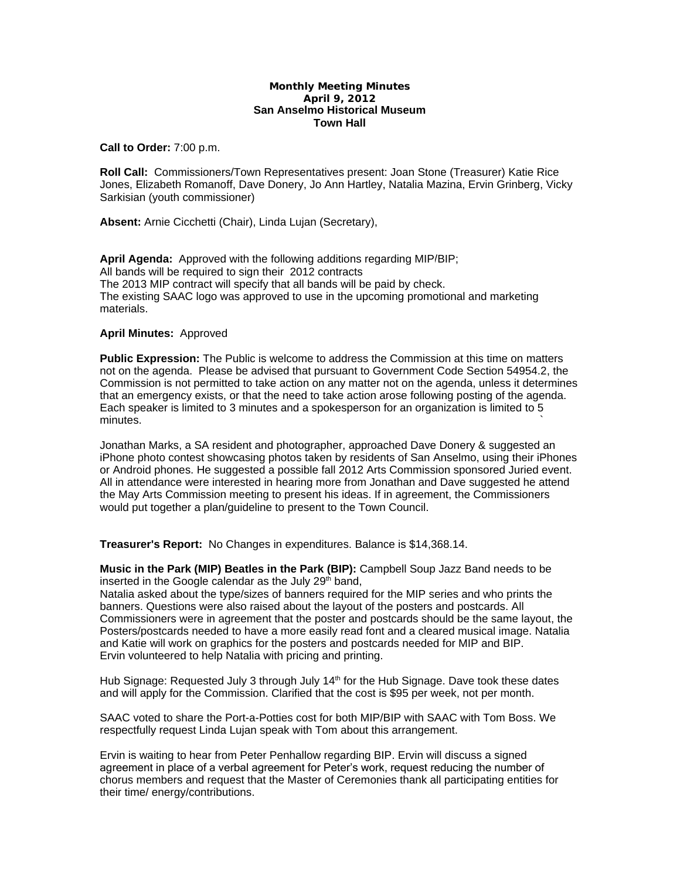## **Monthly Meeting Minutes April 9, 2012 San Anselmo Historical Museum Town Hall**

**Call to Order:** 7:00 p.m.

**Roll Call:** Commissioners/Town Representatives present: Joan Stone (Treasurer) Katie Rice Jones, Elizabeth Romanoff, Dave Donery, Jo Ann Hartley, Natalia Mazina, Ervin Grinberg, Vicky Sarkisian (youth commissioner)

**Absent:** Arnie Cicchetti (Chair), Linda Lujan (Secretary),

**April Agenda:** Approved with the following additions regarding MIP/BIP; All bands will be required to sign their 2012 contracts The 2013 MIP contract will specify that all bands will be paid by check. The existing SAAC logo was approved to use in the upcoming promotional and marketing materials.

## **April Minutes:** Approved

**Public Expression:** The Public is welcome to address the Commission at this time on matters not on the agenda. Please be advised that pursuant to Government Code Section 54954.2, the Commission is not permitted to take action on any matter not on the agenda, unless it determines that an emergency exists, or that the need to take action arose following posting of the agenda. Each speaker is limited to 3 minutes and a spokesperson for an organization is limited to 5 minutes.  $\sim$ 

Jonathan Marks, a SA resident and photographer, approached Dave Donery & suggested an iPhone photo contest showcasing photos taken by residents of San Anselmo, using their iPhones or Android phones. He suggested a possible fall 2012 Arts Commission sponsored Juried event. All in attendance were interested in hearing more from Jonathan and Dave suggested he attend the May Arts Commission meeting to present his ideas. If in agreement, the Commissioners would put together a plan/guideline to present to the Town Council.

**Treasurer's Report:** No Changes in expenditures. Balance is \$14,368.14.

**Music in the Park (MIP) Beatles in the Park (BIP):** Campbell Soup Jazz Band needs to be inserted in the Google calendar as the July  $29<sup>th</sup>$  band,

Natalia asked about the type/sizes of banners required for the MIP series and who prints the banners. Questions were also raised about the layout of the posters and postcards. All Commissioners were in agreement that the poster and postcards should be the same layout, the Posters/postcards needed to have a more easily read font and a cleared musical image. Natalia and Katie will work on graphics for the posters and postcards needed for MIP and BIP. Ervin volunteered to help Natalia with pricing and printing.

Hub Signage: Requested July 3 through July 14<sup>th</sup> for the Hub Signage. Dave took these dates and will apply for the Commission. Clarified that the cost is \$95 per week, not per month.

SAAC voted to share the Port-a-Potties cost for both MIP/BIP with SAAC with Tom Boss. We respectfully request Linda Lujan speak with Tom about this arrangement.

Ervin is waiting to hear from Peter Penhallow regarding BIP. Ervin will discuss a signed agreement in place of a verbal agreement for Peter's work, request reducing the number of chorus members and request that the Master of Ceremonies thank all participating entities for their time/ energy/contributions.